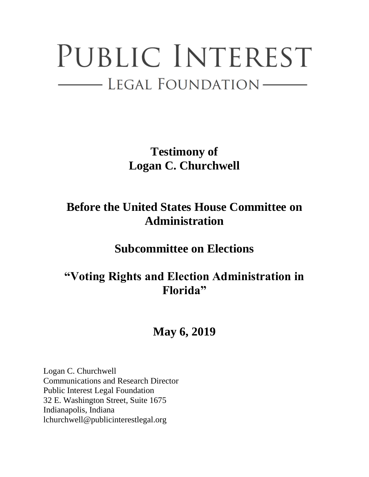## PUBLIC INTEREST - LEGAL FOUNDATION-

**Testimony of Logan C. Churchwell**

## **Before the United States House Committee on Administration**

**Subcommittee on Elections**

## **"Voting Rights and Election Administration in Florida"**

## **May 6, 2019**

Logan C. Churchwell Communications and Research Director Public Interest Legal Foundation 32 E. Washington Street, Suite 1675 Indianapolis, Indiana lchurchwell@publicinterestlegal.org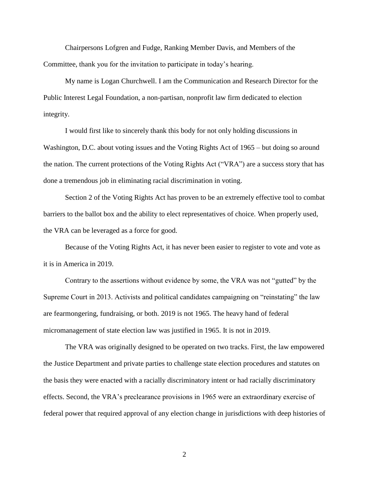Chairpersons Lofgren and Fudge, Ranking Member Davis, and Members of the Committee, thank you for the invitation to participate in today's hearing.

My name is Logan Churchwell. I am the Communication and Research Director for the Public Interest Legal Foundation, a non-partisan, nonprofit law firm dedicated to election integrity.

I would first like to sincerely thank this body for not only holding discussions in Washington, D.C. about voting issues and the Voting Rights Act of 1965 – but doing so around the nation. The current protections of the Voting Rights Act ("VRA") are a success story that has done a tremendous job in eliminating racial discrimination in voting.

Section 2 of the Voting Rights Act has proven to be an extremely effective tool to combat barriers to the ballot box and the ability to elect representatives of choice. When properly used, the VRA can be leveraged as a force for good.

Because of the Voting Rights Act, it has never been easier to register to vote and vote as it is in America in 2019.

Contrary to the assertions without evidence by some, the VRA was not "gutted" by the Supreme Court in 2013. Activists and political candidates campaigning on "reinstating" the law are fearmongering, fundraising, or both. 2019 is not 1965. The heavy hand of federal micromanagement of state election law was justified in 1965. It is not in 2019.

The VRA was originally designed to be operated on two tracks. First, the law empowered the Justice Department and private parties to challenge state election procedures and statutes on the basis they were enacted with a racially discriminatory intent or had racially discriminatory effects. Second, the VRA's preclearance provisions in 1965 were an extraordinary exercise of federal power that required approval of any election change in jurisdictions with deep histories of

2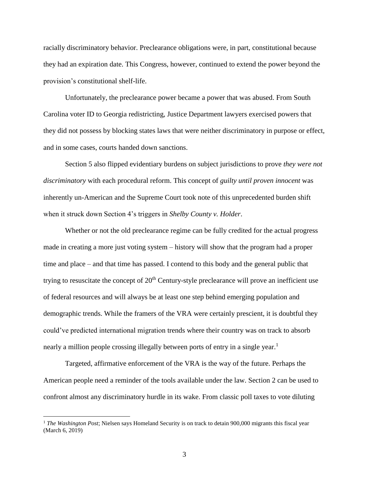racially discriminatory behavior. Preclearance obligations were, in part, constitutional because they had an expiration date. This Congress, however, continued to extend the power beyond the provision's constitutional shelf-life.

Unfortunately, the preclearance power became a power that was abused. From South Carolina voter ID to Georgia redistricting, Justice Department lawyers exercised powers that they did not possess by blocking states laws that were neither discriminatory in purpose or effect, and in some cases, courts handed down sanctions.

Section 5 also flipped evidentiary burdens on subject jurisdictions to prove *they were not discriminatory* with each procedural reform. This concept of *guilty until proven innocent* was inherently un-American and the Supreme Court took note of this unprecedented burden shift when it struck down Section 4's triggers in *Shelby County v. Holder*.

Whether or not the old preclearance regime can be fully credited for the actual progress made in creating a more just voting system – history will show that the program had a proper time and place – and that time has passed. I contend to this body and the general public that trying to resuscitate the concept of  $20<sup>th</sup>$  Century-style preclearance will prove an inefficient use of federal resources and will always be at least one step behind emerging population and demographic trends. While the framers of the VRA were certainly prescient, it is doubtful they could've predicted international migration trends where their country was on track to absorb nearly a million people crossing illegally between ports of entry in a single year.<sup>1</sup>

Targeted, affirmative enforcement of the VRA is the way of the future. Perhaps the American people need a reminder of the tools available under the law. Section 2 can be used to confront almost any discriminatory hurdle in its wake. From classic poll taxes to vote diluting

 $\overline{a}$ 

<sup>&</sup>lt;sup>1</sup> *The Washington Post*; Nielsen says Homeland Security is on track to detain 900,000 migrants this fiscal year (March 6, 2019)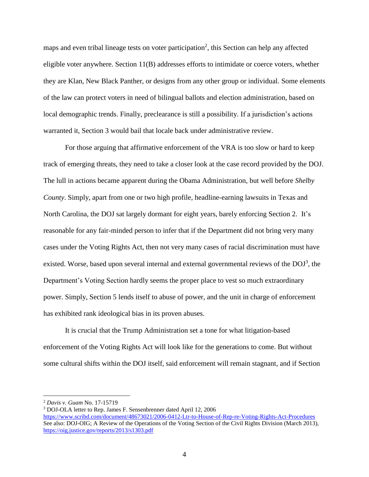maps and even tribal lineage tests on voter participation<sup>2</sup>, this Section can help any affected eligible voter anywhere. Section 11(B) addresses efforts to intimidate or coerce voters, whether they are Klan, New Black Panther, or designs from any other group or individual. Some elements of the law can protect voters in need of bilingual ballots and election administration, based on local demographic trends. Finally, preclearance is still a possibility. If a jurisdiction's actions warranted it, Section 3 would bail that locale back under administrative review.

For those arguing that affirmative enforcement of the VRA is too slow or hard to keep track of emerging threats, they need to take a closer look at the case record provided by the DOJ. The lull in actions became apparent during the Obama Administration, but well before *Shelby County*. Simply, apart from one or two high profile, headline-earning lawsuits in Texas and North Carolina, the DOJ sat largely dormant for eight years, barely enforcing Section 2. It's reasonable for any fair-minded person to infer that if the Department did not bring very many cases under the Voting Rights Act, then not very many cases of racial discrimination must have existed. Worse, based upon several internal and external governmental reviews of the  $DOJ<sup>3</sup>$ , the Department's Voting Section hardly seems the proper place to vest so much extraordinary power. Simply, Section 5 lends itself to abuse of power, and the unit in charge of enforcement has exhibited rank ideological bias in its proven abuses.

It is crucial that the Trump Administration set a tone for what litigation-based enforcement of the Voting Rights Act will look like for the generations to come. But without some cultural shifts within the DOJ itself, said enforcement will remain stagnant, and if Section

 $\overline{a}$ 

<sup>2</sup> *Davis v. Guam* No. 17-15719

<sup>3</sup> DOJ-OLA letter to Rep. James F. Sensenbrenner dated April 12, 2006

<https://www.scribd.com/document/48673021/2006-0412-Ltr-to-House-of-Rep-re-Voting-Rights-Act-Procedures> See also: DOJ-OIG; A Review of the Operations of the Voting Section of the Civil Rights Division (March 2013), <https://oig.justice.gov/reports/2013/s1303.pdf>